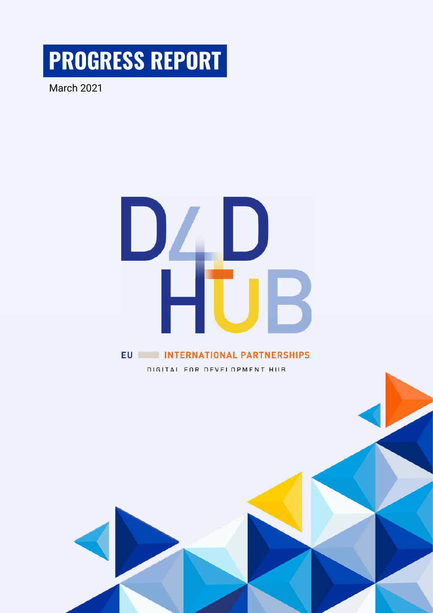**PROGRESS REPORT** 

March 2021

# $\Box$ D **EU INTERNATIONAL PARTNERSHIPS**

DIGITAL FOR DEVELOPMENT HUB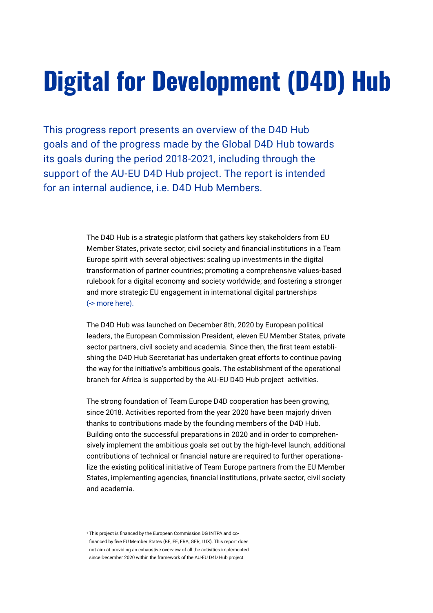# **Digital for Development (D4D) Hub**

This progress report presents an overview of the D4D Hub goals and of the progress made by the Global D4D Hub towards its goals during the period 2018-2021, including through the support of the AU-EU D4D Hub project. The report is intended for an internal audience, i.e. D4D Hub Members.

> The D4D Hub is a strategic platform that gathers key stakeholders from EU Member States, private sector, civil society and financial institutions in a Team Europe spirit with several objectives: scaling up investments in the digital transformation of partner countries; promoting a comprehensive values-based rulebook for a digital economy and society worldwide; and fostering a stronger and more strategic EU engagement in international digital partnerships [\(-> more here\).](https://ec.europa.eu/commission/presscorner/detail/en/IP_20_2321)

The D4D Hub was launched on December 8th, 2020 by European political leaders, the European Commission President, eleven EU Member States, private sector partners, civil society and academia. Since then, the first team establishing the D4D Hub Secretariat has undertaken great efforts to continue paving the way for the initiative's ambitious goals. The establishment of the operational branch for Africa is supported by the AU-EU D4D Hub project activities.

The strong foundation of Team Europe D4D cooperation has been growing, since 2018. Activities reported from the year 2020 have been majorly driven thanks to contributions made by the founding members of the D4D Hub. Building onto the successful preparations in 2020 and in order to comprehensively implement the ambitious goals set out by the high-level launch, additional contributions of technical or financial nature are required to further operationalize the existing political initiative of Team Europe partners from the EU Member States, implementing agencies, financial institutions, private sector, civil society and academia.

<sup>1</sup> This project is financed by the European Commission DG INTPA and cofinanced by five EU Member States (BE, EE, FRA, GER, LUX). This report does not aim at providing an exhaustive overview of all the activities implemented since December 2020 within the framework of the AU-EU D4D Hub project.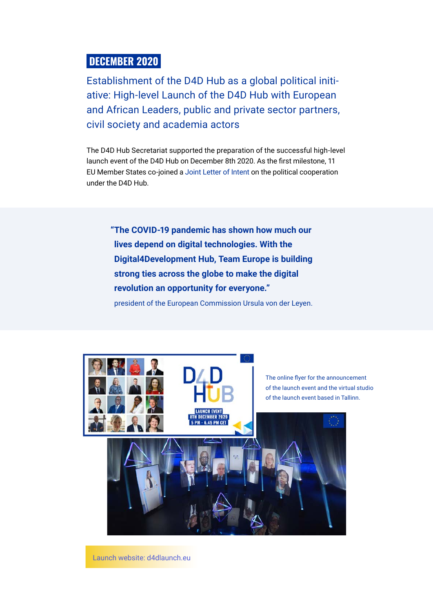## **DECEMBER 2020**

Establishment of the D4D Hub as a global political initiative: High-level Launch of the D4D Hub with European and African Leaders, public and private sector partners, civil society and academia actors

The D4D Hub Secretariat supported the preparation of the successful high-level launch event of the D4D Hub on December 8th 2020. As the first milestone, 11 EU Member States co-joined a [Joint Letter of Intent](https://toolkit-digitalisierung.de/app/uploads/2020/12/MoU-D4D-Hub.pdf) on the political cooperation under the D4D Hub.

 **"The COVID-19 pandemic has shown how much our lives depend on digital technologies. With the Digital4Development Hub, Team Europe is building strong ties across the globe to make the digital revolution an opportunity for everyone."**

president of the European Commission Ursula von der Leyen.

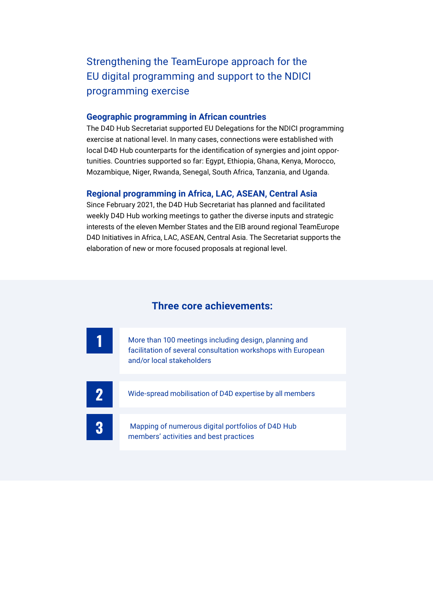Strengthening the TeamEurope approach for the EU digital programming and support to the NDICI programming exercise

#### **Geographic programming in African countries**

The D4D Hub Secretariat supported EU Delegations for the NDICI programming exercise at national level. In many cases, connections were established with local D4D Hub counterparts for the identification of synergies and joint opportunities. Countries supported so far: Egypt, Ethiopia, Ghana, Kenya, Morocco, Mozambique, Niger, Rwanda, Senegal, South Africa, Tanzania, and Uganda.

#### **Regional programming in Africa, LAC, ASEAN, Central Asia**

Since February 2021, the D4D Hub Secretariat has planned and facilitated weekly D4D Hub working meetings to gather the diverse inputs and strategic interests of the eleven Member States and the EIB around regional TeamEurope D4D Initiatives in Africa, LAC, ASEAN, Central Asia. The Secretariat supports the elaboration of new or more focused proposals at regional level.

#### **Three core achievements:**

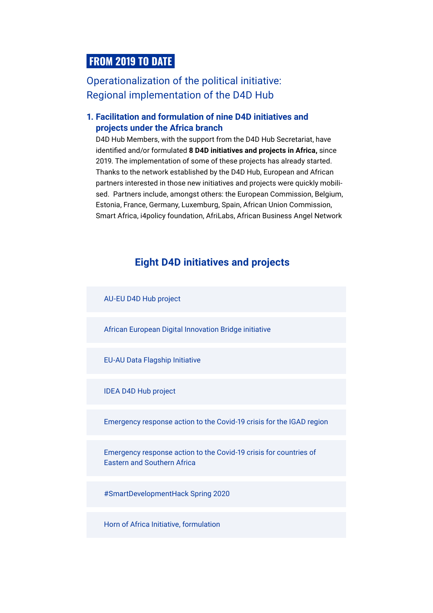# **FROM 2019 TO DATE**

Operationalization of the political initiative: Regional implementation of the D4D Hub

#### **1. Facilitation and formulation of nine D4D initiatives and projects under the Africa branch**

D4D Hub Members, with the support from the D4D Hub Secretariat, have identified and/or formulated **8 D4D initiatives and projects in Africa,** since 2019. The implementation of some of these projects has already started. Thanks to the network established by the D4D Hub, European and African partners interested in those new initiatives and projects were quickly mobilised. Partners include, amongst others: the European Commission, Belgium, Estonia, France, Germany, Luxemburg, Spain, African Union Commission, Smart Africa, i4policy foundation, AfriLabs, African Business Angel Network

# **Eight D4D initiatives and projects**



Horn of Africa Initiative, formulation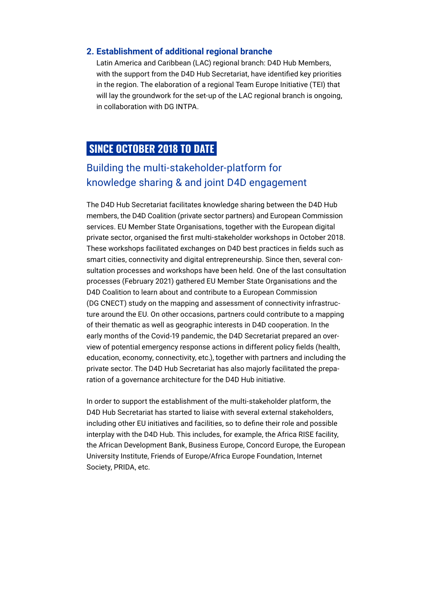#### **2. Establishment of additional regional branche**

Latin America and Caribbean (LAC) regional branch: D4D Hub Members, with the support from the D4D Hub Secretariat, have identified key priorities in the region. The elaboration of a regional Team Europe Initiative (TEI) that will lay the groundwork for the set-up of the LAC regional branch is ongoing, in collaboration with DG INTPA.

# **SINCE OCTOBER 2018 TO DATE**

# Building the multi-stakeholder-platform for knowledge sharing & and joint D4D engagement

The D4D Hub Secretariat facilitates knowledge sharing between the D4D Hub members, the D4D Coalition (private sector partners) and European Commission services. EU Member State Organisations, together with the European digital private sector, organised the first multi-stakeholder workshops in October 2018. These workshops facilitated exchanges on D4D best practices in fields such as smart cities, connectivity and digital entrepreneurship. Since then, several consultation processes and workshops have been held. One of the last consultation processes (February 2021) gathered EU Member State Organisations and the D4D Coalition to learn about and contribute to a European Commission (DG CNECT) study on the mapping and assessment of connectivity infrastructure around the EU. On other occasions, partners could contribute to a mapping of their thematic as well as geographic interests in D4D cooperation. In the early months of the Covid-19 pandemic, the D4D Secretariat prepared an overview of potential emergency response actions in different policy fields (health, education, economy, connectivity, etc.), together with partners and including the private sector. The D4D Hub Secretariat has also majorly facilitated the preparation of a governance architecture for the D4D Hub initiative.

In order to support the establishment of the multi-stakeholder platform, the D4D Hub Secretariat has started to liaise with several external stakeholders, including other EU initiatives and facilities, so to define their role and possible interplay with the D4D Hub. This includes, for example, the Africa RISE facility, the African Development Bank, Business Europe, Concord Europe, the European University Institute, Friends of Europe/Africa Europe Foundation, Internet Society, PRIDA, etc.